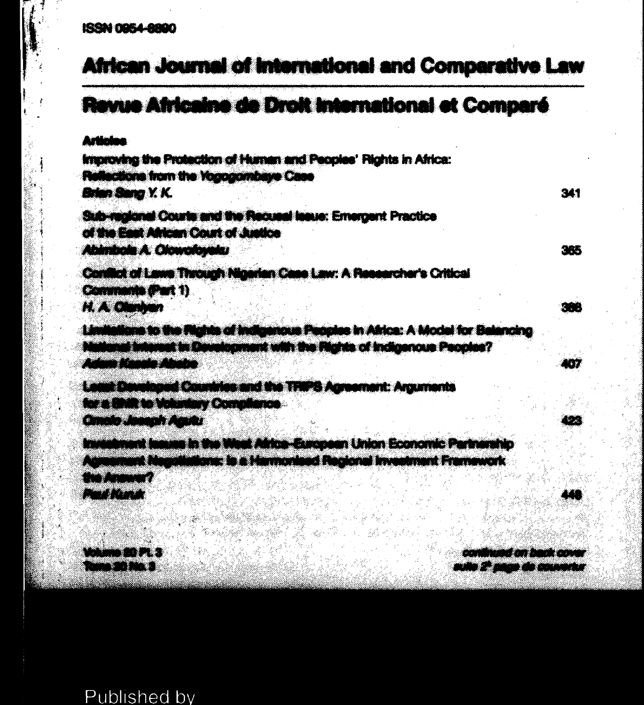## **African Journal of International and Comparative Law**

# Ravua Africaine de Droit International et Comparé

Artistan

Improving the Protection of Human and Peoples' Rights in Africa: Reflections from the Yogogombase Case **Brian Sang Y. K.** 

Sub-realized Courts and the Request Issue: Emergent Practice of the East African Court of Justice **Abimbola A. Olowolovalci** 

Conflict of Lewis Through Nigerian Case Lew: A Researcher's Critical Comments (Part 1)

H. A. Chathan

Limitations to the Rights of Indigenous Peoples in Africa: A Model for Balancing tional Interest in Development with the Flights of Indigenous Peoples? Adora Kimin Ahaba

Least Doveloped Countries and the TRIPS Agreement: Arguments for a thift to Voluntary Compilance.

**Cimato Joseph Aguitz** 

Investment Issues in the West Africa-European Union Economic Partnership Admonment Negotiations: is a Harmonised Regional Investment Framework he Annum?

**Conference** 

**PERSONAL PROPERTY THE STATE** 

and the company of the company auto 2<sup>2</sup> pago de couvertur

341

365

388

4577

192

440